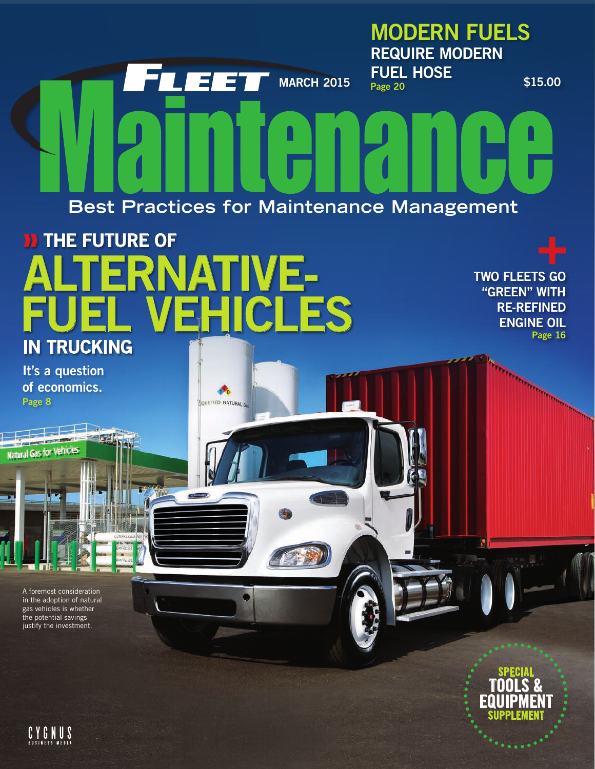

A foremost consideration in the adoption of natural gas vehicles is whether the potential savings justify the investment.



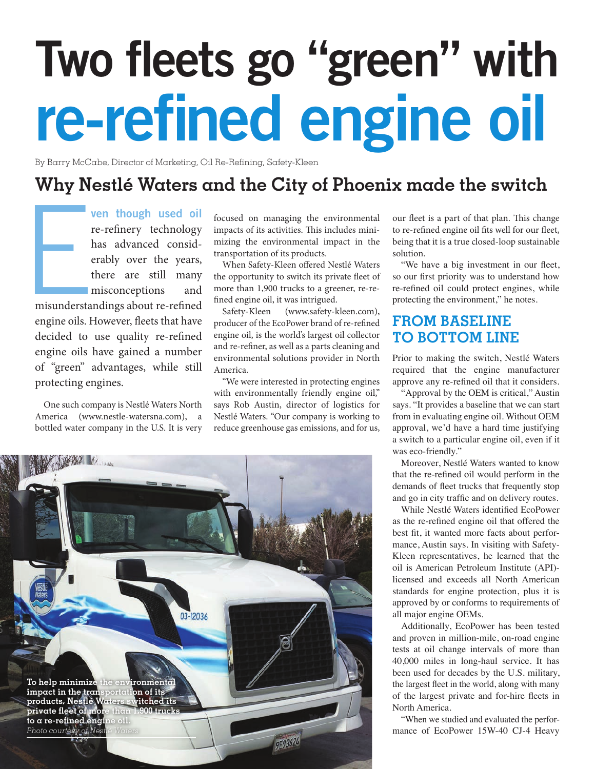# Two fleets go "green" with re-refined engine oil

By Barry McCabe, Director of Marketing, Oil Re-Refining, Safety-Kleen

## **Why Nestlé Waters and the City of Phoenix made the switch**

Extending the misunderstand contains a strong series of the strength of the strength of the strength of the strength of the strength of the strength of the strength of the strength of the strength of the strength of the st ven though used oil re-refinery technology has advanced considerably over the years, there are still many misconceptions and misunderstandings about re-refined engine oils. However, fleets that have decided to use quality re-refined engine oils have gained a number of "green" advantages, while still protecting engines.

One such company is Nestlé Waters North America (www.nestle-watersna.com), a bottled water company in the U.S. It is very

focused on managing the environmental impacts of its activities. This includes minimizing the environmental impact in the transportation of its products.

When Safety-Kleen offered Nestlé Waters the opportunity to switch its private fleet of more than 1,900 trucks to a greener, re-refined engine oil, it was intrigued.

Safety-Kleen (www.safety-kleen.com), producer of the EcoPower brand of re-refined engine oil, is the world's largest oil collector and re-refiner, as well as a parts cleaning and environmental solutions provider in North America.

"We were interested in protecting engines with environmentally friendly engine oil," says Rob Austin, director of logistics for Nestlé Waters. "Our company is working to reduce greenhouse gas emissions, and for us,



our fleet is a part of that plan. This change to re-refined engine oil fits well for our fleet, being that it is a true closed-loop sustainable solution.

"We have a big investment in our fleet, so our first priority was to understand how re-refined oil could protect engines, while protecting the environment," he notes.

## **FROM BASELINE TO BOTTOM LINE**

Prior to making the switch, Nestlé Waters required that the engine manufacturer approve any re-refined oil that it considers.

"Approval by the OEM is critical," Austin says. "It provides a baseline that we can start from in evaluating engine oil. Without OEM approval, we'd have a hard time justifying a switch to a particular engine oil, even if it was eco-friendly."

Moreover, Nestlé Waters wanted to know that the re-refined oil would perform in the demands of fleet trucks that frequently stop and go in city traffic and on delivery routes.

While Nestlé Waters identified EcoPower as the re-refined engine oil that offered the best fit, it wanted more facts about performance, Austin says. In visiting with Safety-Kleen representatives, he learned that the oil is American Petroleum Institute (API) licensed and exceeds all North American standards for engine protection, plus it is approved by or conforms to requirements of all major engine OEMs.

Additionally, EcoPower has been tested and proven in million-mile, on-road engine tests at oil change intervals of more than 40,000 miles in long-haul service. It has been used for decades by the U.S. military, the largest fleet in the world, along with many of the largest private and for-hire fleets in North America.

"When we studied and evaluated the performance of EcoPower 15W-40 CJ-4 Heavy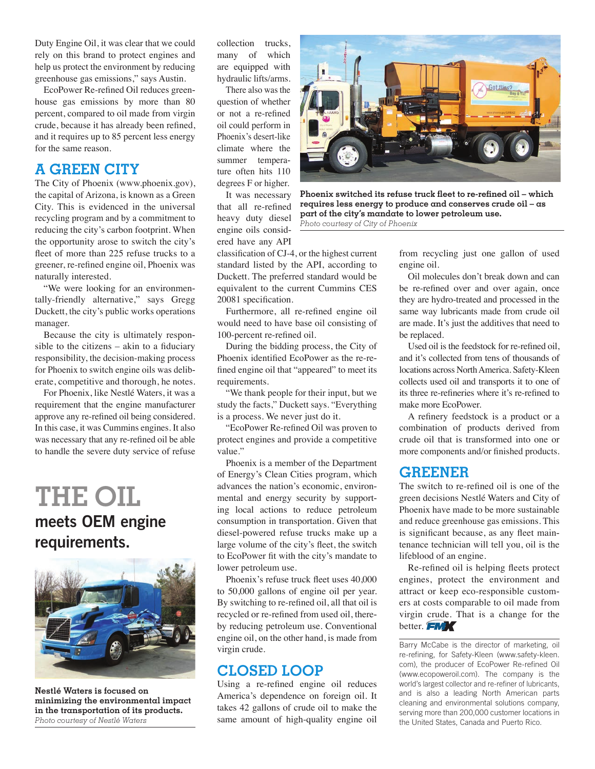Duty Engine Oil, it was clear that we could rely on this brand to protect engines and help us protect the environment by reducing greenhouse gas emissions," says Austin.

EcoPower Re-refined Oil reduces greenhouse gas emissions by more than 80 percent, compared to oil made from virgin crude, because it has already been refined, and it requires up to 85 percent less energy for the same reason.

## **A GREEN CITY**

The City of Phoenix (www.phoenix.gov), the capital of Arizona, is known as a Green City. This is evidenced in the universal recycling program and by a commitment to reducing the city's carbon footprint. When the opportunity arose to switch the city's fleet of more than 225 refuse trucks to a greener, re-refined engine oil, Phoenix was naturally interested.

"We were looking for an environmentally-friendly alternative," says Gregg Duckett, the city's public works operations manager.

Because the city is ultimately responsible to the citizens – akin to a fiduciary responsibility, the decision-making process for Phoenix to switch engine oils was deliberate, competitive and thorough, he notes.

For Phoenix, like Nestlé Waters, it was a requirement that the engine manufacturer approve any re-refined oil being considered. In this case, it was Cummins engines. It also was necessary that any re-refined oil be able to handle the severe duty service of refuse

# **THE OIL** meets OEM engine requirements.

![](_page_2_Picture_8.jpeg)

**Nestlé Waters is focused on minimizing the environmental impact in the transportation of its products.** *Photo courtesy of Nestlé Waters*

collection trucks, many of which are equipped with hydraulic lifts/arms.

There also was the question of whether or not a re-refined oil could perform in Phoenix's desert-like climate where the summer temperature often hits 110 degrees F or higher.

It was necessary that all re-refined heavy duty diesel engine oils considered have any API

![](_page_2_Picture_13.jpeg)

Furthermore, all re-refined engine oil would need to have base oil consisting of 100-percent re-refined oil.

During the bidding process, the City of Phoenix identified EcoPower as the re-refined engine oil that "appeared" to meet its requirements.

"We thank people for their input, but we study the facts," Duckett says. "Everything is a process. We never just do it.

"EcoPower Re-refined Oil was proven to protect engines and provide a competitive value."

Phoenix is a member of the Department of Energy's Clean Cities program, which advances the nation's economic, environmental and energy security by supporting local actions to reduce petroleum consumption in transportation. Given that diesel-powered refuse trucks make up a large volume of the city's fleet, the switch to EcoPower fit with the city's mandate to lower petroleum use.

Phoenix's refuse truck fleet uses 40,000 to 50,000 gallons of engine oil per year. By switching to re-refined oil, all that oil is recycled or re-refined from used oil, thereby reducing petroleum use. Conventional engine oil, on the other hand, is made from virgin crude.

### **CLOSED LOOP**

Using a re-refined engine oil reduces America's dependence on foreign oil. It takes 42 gallons of crude oil to make the same amount of high-quality engine oil

![](_page_2_Picture_22.jpeg)

**Phoenix switched its refuse truck fleet to re-refined oil – which requires less energy to produce and conserves crude oil – as part of the city's mandate to lower petroleum use.** *Photo courtesy of City of Phoenix*

from recycling just one gallon of used engine oil.

Oil molecules don't break down and can be re-refined over and over again, once they are hydro-treated and processed in the same way lubricants made from crude oil are made. It's just the additives that need to be replaced.

Used oil is the feedstock for re-refined oil, and it's collected from tens of thousands of locations across North America. Safety-Kleen collects used oil and transports it to one of its three re-refineries where it's re-refined to make more EcoPower.

A refinery feedstock is a product or a combination of products derived from crude oil that is transformed into one or more components and/or finished products.

## **GREENER**

The switch to re-refined oil is one of the green decisions Nestlé Waters and City of Phoenix have made to be more sustainable and reduce greenhouse gas emissions. This is significant because, as any fleet maintenance technician will tell you, oil is the lifeblood of an engine.

Re-refined oil is helping fleets protect engines, protect the environment and attract or keep eco-responsible customers at costs comparable to oil made from virgin crude. That is a change for the better. FMX

Barry McCabe is the director of marketing, oil re-refining, for Safety-Kleen (www.safety-kleen. com), the producer of EcoPower Re-refined Oil (www.ecopoweroil.com). The company is the world's largest collector and re-refiner of lubricants, and is also a leading North American parts cleaning and environmental solutions company, serving more than 200,000 customer locations in the United States, Canada and Puerto Rico.